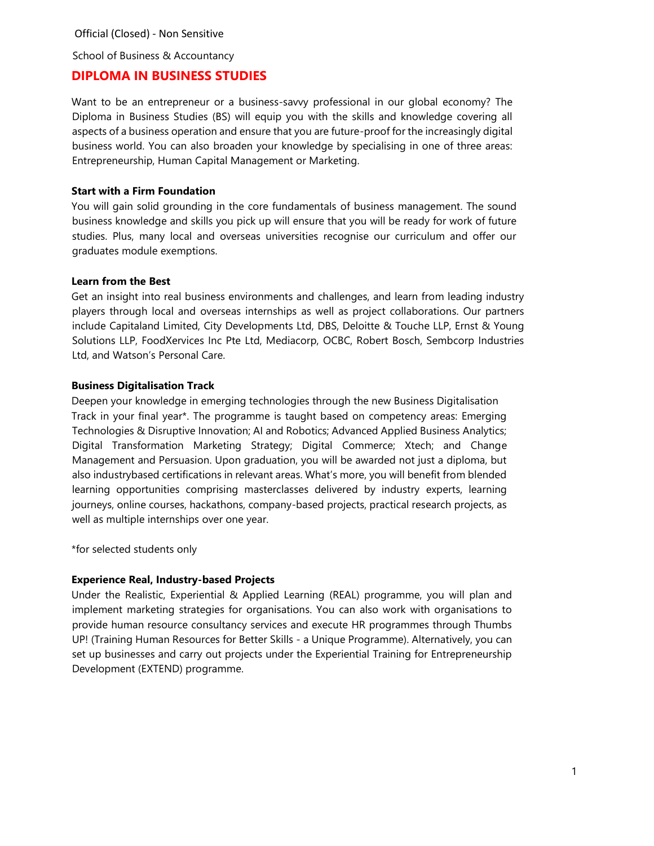# **DIPLOMA IN BUSINESS STUDIES**

Want to be an entrepreneur or a business-savvy professional in our global economy? The Diploma in Business Studies (BS) will equip you with the skills and knowledge covering all aspects of a business operation and ensure that you are future-proof for the increasingly digital business world. You can also broaden your knowledge by specialising in one of three areas: Entrepreneurship, Human Capital Management or Marketing.

# **Start with a Firm Foundation**

You will gain solid grounding in the core fundamentals of business management. The sound business knowledge and skills you pick up will ensure that you will be ready for work of future studies. Plus, many local and overseas universities recognise our curriculum and offer our graduates module exemptions.

## **Learn from the Best**

Get an insight into real business environments and challenges, and learn from leading industry players through local and overseas internships as well as project collaborations. Our partners include Capitaland Limited, City Developments Ltd, DBS, Deloitte & Touche LLP, Ernst & Young Solutions LLP, FoodXervices Inc Pte Ltd, Mediacorp, OCBC, Robert Bosch, Sembcorp Industries Ltd, and Watson's Personal Care.

## **Business Digitalisation Track**

Deepen your knowledge in emerging technologies through the new Business Digitalisation Track in your final year\*. The programme is taught based on competency areas: Emerging Technologies & Disruptive Innovation; AI and Robotics; Advanced Applied Business Analytics; Digital Transformation Marketing Strategy; Digital Commerce; Xtech; and Change Management and Persuasion. Upon graduation, you will be awarded not just a diploma, but also industrybased certifications in relevant areas. What's more, you will benefit from blended learning opportunities comprising masterclasses delivered by industry experts, learning journeys, online courses, hackathons, company-based projects, practical research projects, as well as multiple internships over one year.

\*for selected students only

# **Experience Real, Industry-based Projects**

Under the Realistic, Experiential & Applied Learning (REAL) programme, you will plan and implement marketing strategies for organisations. You can also work with organisations to provide human resource consultancy services and execute HR programmes through Thumbs UP! (Training Human Resources for Better Skills - a Unique Programme). Alternatively, you can set up businesses and carry out projects under the Experiential Training for Entrepreneurship Development (EXTEND) programme.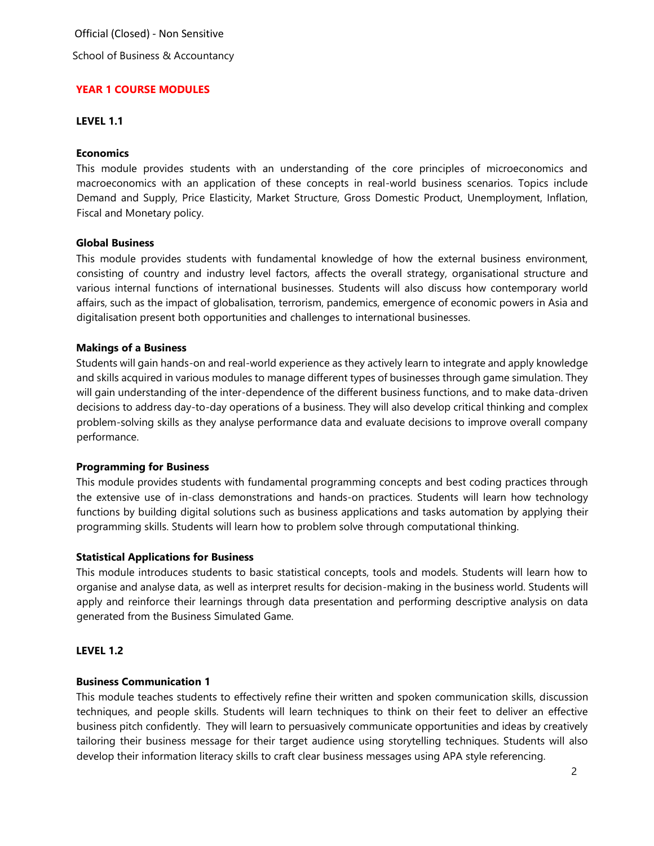School of Business & Accountancy

#### **YEAR 1 COURSE MODULES**

#### **LEVEL 1.1**

#### **Economics**

This module provides students with an understanding of the core principles of microeconomics and macroeconomics with an application of these concepts in real-world business scenarios. Topics include Demand and Supply, Price Elasticity, Market Structure, Gross Domestic Product, Unemployment, Inflation, Fiscal and Monetary policy.

#### **Global Business**

This module provides students with fundamental knowledge of how the external business environment, consisting of country and industry level factors, affects the overall strategy, organisational structure and various internal functions of international businesses. Students will also discuss how contemporary world affairs, such as the impact of globalisation, terrorism, pandemics, emergence of economic powers in Asia and digitalisation present both opportunities and challenges to international businesses.

#### **Makings of a Business**

Students will gain hands-on and real-world experience as they actively learn to integrate and apply knowledge and skills acquired in various modules to manage different types of businesses through game simulation. They will gain understanding of the inter-dependence of the different business functions, and to make data-driven decisions to address day-to-day operations of a business. They will also develop critical thinking and complex problem-solving skills as they analyse performance data and evaluate decisions to improve overall company performance.

# **Programming for Business**

This module provides students with fundamental programming concepts and best coding practices through the extensive use of in-class demonstrations and hands-on practices. Students will learn how technology functions by building digital solutions such as business applications and tasks automation by applying their programming skills. Students will learn how to problem solve through computational thinking.

#### **Statistical Applications for Business**

This module introduces students to basic statistical concepts, tools and models. Students will learn how to organise and analyse data, as well as interpret results for decision-making in the business world. Students will apply and reinforce their learnings through data presentation and performing descriptive analysis on data generated from the Business Simulated Game.

#### **LEVEL 1.2**

# **Business Communication 1**

This module teaches students to effectively refine their written and spoken communication skills, discussion techniques, and people skills. Students will learn techniques to think on their feet to deliver an effective business pitch confidently. They will learn to persuasively communicate opportunities and ideas by creatively tailoring their business message for their target audience using storytelling techniques. Students will also develop their information literacy skills to craft clear business messages using APA style referencing.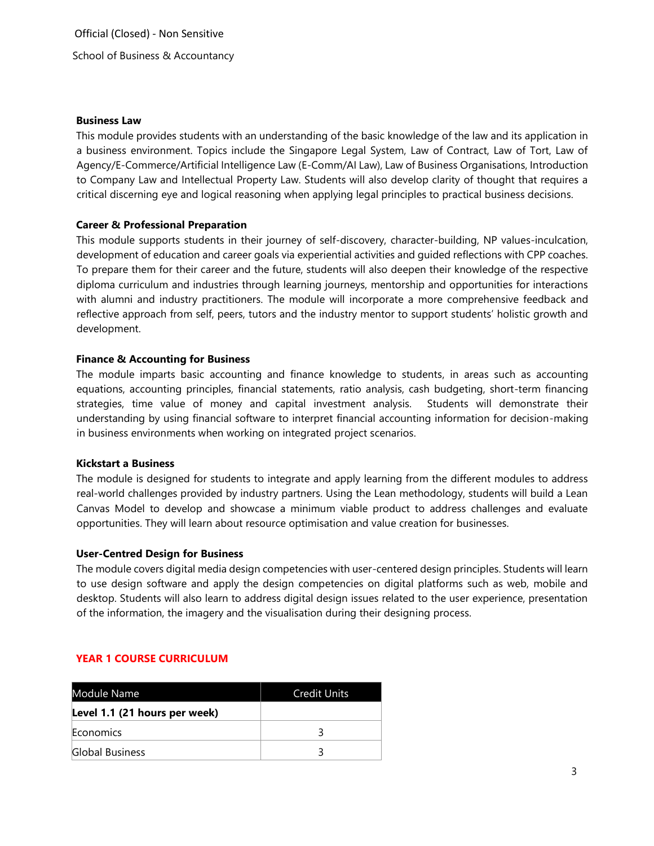## **Business Law**

This module provides students with an understanding of the basic knowledge of the law and its application in a business environment. Topics include the Singapore Legal System, Law of Contract, Law of Tort, Law of Agency/E-Commerce/Artificial Intelligence Law (E-Comm/AI Law), Law of Business Organisations, Introduction to Company Law and Intellectual Property Law. Students will also develop clarity of thought that requires a critical discerning eye and logical reasoning when applying legal principles to practical business decisions.

# **Career & Professional Preparation**

This module supports students in their journey of self-discovery, character-building, NP values-inculcation, development of education and career goals via experiential activities and guided reflections with CPP coaches. To prepare them for their career and the future, students will also deepen their knowledge of the respective diploma curriculum and industries through learning journeys, mentorship and opportunities for interactions with alumni and industry practitioners. The module will incorporate a more comprehensive feedback and reflective approach from self, peers, tutors and the industry mentor to support students' holistic growth and development.

## **Finance & Accounting for Business**

The module imparts basic accounting and finance knowledge to students, in areas such as accounting equations, accounting principles, financial statements, ratio analysis, cash budgeting, short-term financing strategies, time value of money and capital investment analysis. Students will demonstrate their understanding by using financial software to interpret financial accounting information for decision-making in business environments when working on integrated project scenarios.

## **Kickstart a Business**

The module is designed for students to integrate and apply learning from the different modules to address real-world challenges provided by industry partners. Using the Lean methodology, students will build a Lean Canvas Model to develop and showcase a minimum viable product to address challenges and evaluate opportunities. They will learn about resource optimisation and value creation for businesses.

#### **User-Centred Design for Business**

The module covers digital media design competencies with user-centered design principles. Students will learn to use design software and apply the design competencies on digital platforms such as web, mobile and desktop. Students will also learn to address digital design issues related to the user experience, presentation of the information, the imagery and the visualisation during their designing process.

# **YEAR 1 COURSE CURRICULUM**

| Module Name                   | <b>Credit Units</b> |
|-------------------------------|---------------------|
| Level 1.1 (21 hours per week) |                     |
| Economics                     |                     |
| Global Business               |                     |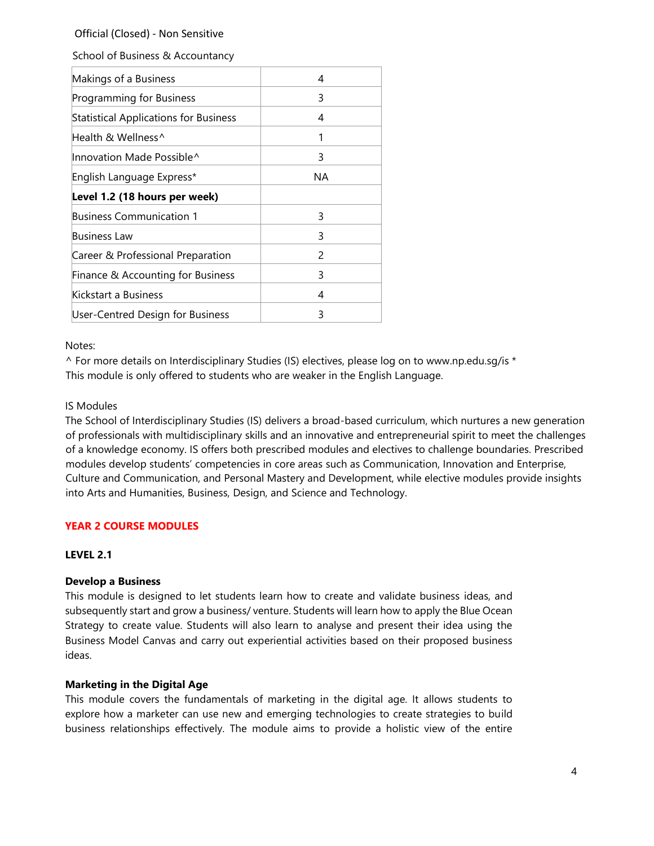School of Business & Accountancy

| Makings of a Business                        | 4  |
|----------------------------------------------|----|
| Programming for Business                     | 3  |
| <b>Statistical Applications for Business</b> | 4  |
| Health & Wellness^                           | 1  |
| Innovation Made Possible^                    | 3  |
| English Language Express*                    | NA |
| Level 1.2 (18 hours per week)                |    |
| Business Communication 1                     | 3  |
| Business Law                                 | 3  |
| Career & Professional Preparation            | 2  |
| Finance & Accounting for Business            | 3  |
| Kickstart a Business                         | 4  |
| User-Centred Design for Business             | 3  |

## Notes:

 $\wedge$  For more details on Interdisciplinary Studies (IS) electives, please log on to www.np.edu.sg/is \* This module is only offered to students who are weaker in the English Language.

# IS Modules

The School of Interdisciplinary Studies (IS) delivers a broad-based curriculum, which nurtures a new generation of professionals with multidisciplinary skills and an innovative and entrepreneurial spirit to meet the challenges of a knowledge economy. IS offers both prescribed modules and electives to challenge boundaries. Prescribed modules develop students' competencies in core areas such as Communication, Innovation and Enterprise, Culture and Communication, and Personal Mastery and Development, while elective modules provide insights into Arts and Humanities, Business, Design, and Science and Technology.

# **YEAR 2 COURSE MODULES**

# **LEVEL 2.1**

# **Develop a Business**

This module is designed to let students learn how to create and validate business ideas, and subsequently start and grow a business/ venture. Students will learn how to apply the Blue Ocean Strategy to create value. Students will also learn to analyse and present their idea using the Business Model Canvas and carry out experiential activities based on their proposed business ideas.

# **Marketing in the Digital Age**

This module covers the fundamentals of marketing in the digital age. It allows students to explore how a marketer can use new and emerging technologies to create strategies to build business relationships effectively. The module aims to provide a holistic view of the entire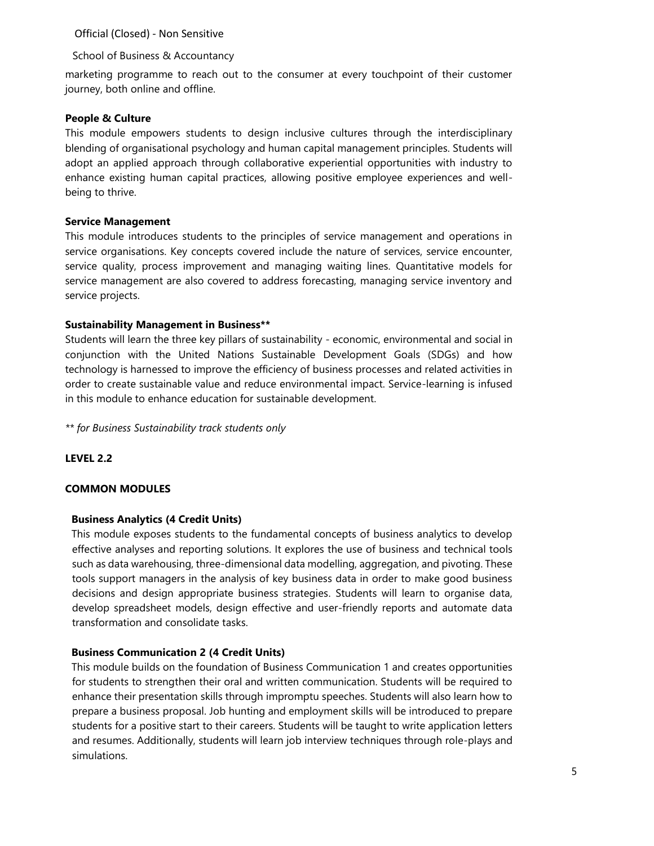School of Business & Accountancy

marketing programme to reach out to the consumer at every touchpoint of their customer journey, both online and offline.

## **People & Culture**

This module empowers students to design inclusive cultures through the interdisciplinary blending of organisational psychology and human capital management principles. Students will adopt an applied approach through collaborative experiential opportunities with industry to enhance existing human capital practices, allowing positive employee experiences and wellbeing to thrive.

## **Service Management**

This module introduces students to the principles of service management and operations in service organisations. Key concepts covered include the nature of services, service encounter, service quality, process improvement and managing waiting lines. Quantitative models for service management are also covered to address forecasting, managing service inventory and service projects.

# **Sustainability Management in Business\*\***

Students will learn the three key pillars of sustainability - economic, environmental and social in conjunction with the United Nations Sustainable Development Goals (SDGs) and how technology is harnessed to improve the efficiency of business processes and related activities in order to create sustainable value and reduce environmental impact. Service-learning is infused in this module to enhance education for sustainable development.

*\*\* for Business Sustainability track students only*

# **LEVEL 2.2**

#### **COMMON MODULES**

# **Business Analytics (4 Credit Units)**

This module exposes students to the fundamental concepts of business analytics to develop effective analyses and reporting solutions. It explores the use of business and technical tools such as data warehousing, three-dimensional data modelling, aggregation, and pivoting. These tools support managers in the analysis of key business data in order to make good business decisions and design appropriate business strategies. Students will learn to organise data, develop spreadsheet models, design effective and user-friendly reports and automate data transformation and consolidate tasks.

#### **Business Communication 2 (4 Credit Units)**

This module builds on the foundation of Business Communication 1 and creates opportunities for students to strengthen their oral and written communication. Students will be required to enhance their presentation skills through impromptu speeches. Students will also learn how to prepare a business proposal. Job hunting and employment skills will be introduced to prepare students for a positive start to their careers. Students will be taught to write application letters and resumes. Additionally, students will learn job interview techniques through role-plays and simulations.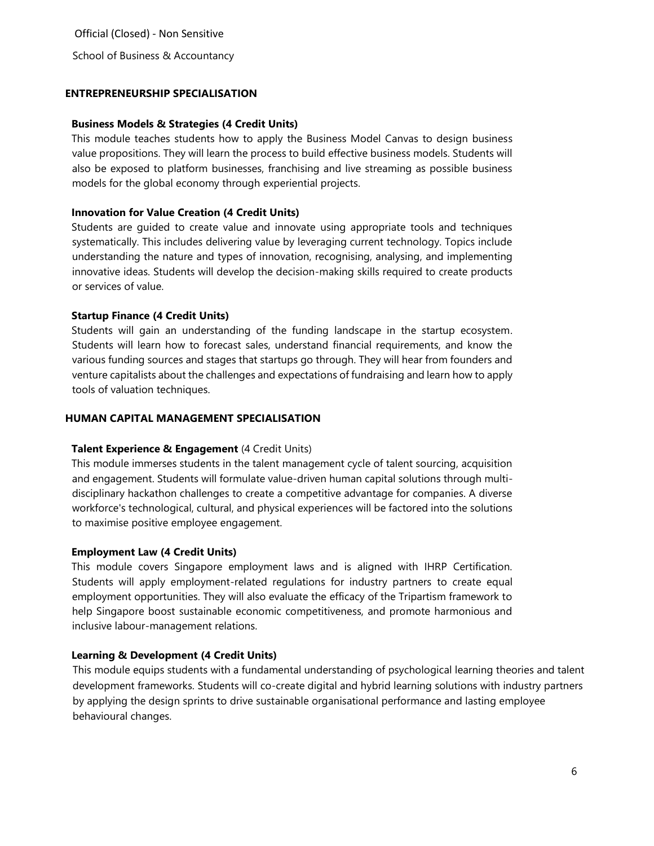# **ENTREPRENEURSHIP SPECIALISATION**

#### **Business Models & Strategies (4 Credit Units)**

This module teaches students how to apply the Business Model Canvas to design business value propositions. They will learn the process to build effective business models. Students will also be exposed to platform businesses, franchising and live streaming as possible business models for the global economy through experiential projects.

## **Innovation for Value Creation (4 Credit Units)**

Students are guided to create value and innovate using appropriate tools and techniques systematically. This includes delivering value by leveraging current technology. Topics include understanding the nature and types of innovation, recognising, analysing, and implementing innovative ideas. Students will develop the decision-making skills required to create products or services of value.

## **Startup Finance (4 Credit Units)**

Students will gain an understanding of the funding landscape in the startup ecosystem. Students will learn how to forecast sales, understand financial requirements, and know the various funding sources and stages that startups go through. They will hear from founders and venture capitalists about the challenges and expectations of fundraising and learn how to apply tools of valuation techniques.

## **HUMAN CAPITAL MANAGEMENT SPECIALISATION**

#### **Talent Experience & Engagement** (4 Credit Units)

This module immerses students in the talent management cycle of talent sourcing, acquisition and engagement. Students will formulate value-driven human capital solutions through multidisciplinary hackathon challenges to create a competitive advantage for companies. A diverse workforce's technological, cultural, and physical experiences will be factored into the solutions to maximise positive employee engagement.

# **Employment Law (4 Credit Units)**

This module covers Singapore employment laws and is aligned with IHRP Certification. Students will apply employment-related regulations for industry partners to create equal employment opportunities. They will also evaluate the efficacy of the Tripartism framework to help Singapore boost sustainable economic competitiveness, and promote harmonious and inclusive labour-management relations.

# **Learning & Development (4 Credit Units)**

This module equips students with a fundamental understanding of psychological learning theories and talent development frameworks. Students will co-create digital and hybrid learning solutions with industry partners by applying the design sprints to drive sustainable organisational performance and lasting employee behavioural changes.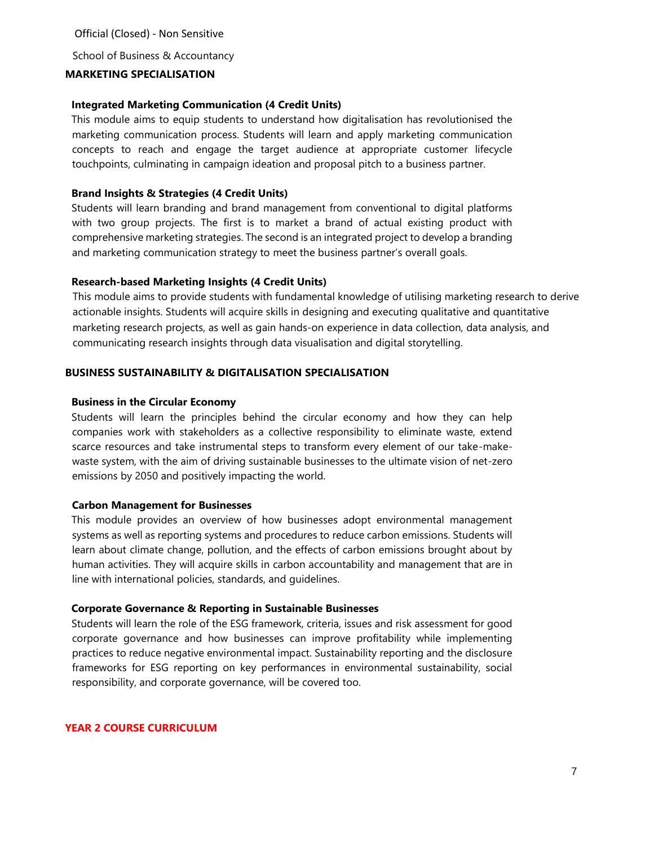# **MARKETING SPECIALISATION**

## **Integrated Marketing Communication (4 Credit Units)**

This module aims to equip students to understand how digitalisation has revolutionised the marketing communication process. Students will learn and apply marketing communication concepts to reach and engage the target audience at appropriate customer lifecycle touchpoints, culminating in campaign ideation and proposal pitch to a business partner.

## **Brand Insights & Strategies (4 Credit Units)**

Students will learn branding and brand management from conventional to digital platforms with two group projects. The first is to market a brand of actual existing product with comprehensive marketing strategies. The second is an integrated project to develop a branding and marketing communication strategy to meet the business partner's overall goals.

## **Research-based Marketing Insights (4 Credit Units)**

This module aims to provide students with fundamental knowledge of utilising marketing research to derive actionable insights. Students will acquire skills in designing and executing qualitative and quantitative marketing research projects, as well as gain hands-on experience in data collection, data analysis, and communicating research insights through data visualisation and digital storytelling.

## **BUSINESS SUSTAINABILITY & DIGITALISATION SPECIALISATION**

## **Business in the Circular Economy**

Students will learn the principles behind the circular economy and how they can help companies work with stakeholders as a collective responsibility to eliminate waste, extend scarce resources and take instrumental steps to transform every element of our take-makewaste system, with the aim of driving sustainable businesses to the ultimate vision of net-zero emissions by 2050 and positively impacting the world.

#### **Carbon Management for Businesses**

This module provides an overview of how businesses adopt environmental management systems as well as reporting systems and procedures to reduce carbon emissions. Students will learn about climate change, pollution, and the effects of carbon emissions brought about by human activities. They will acquire skills in carbon accountability and management that are in line with international policies, standards, and guidelines.

#### **Corporate Governance & Reporting in Sustainable Businesses**

Students will learn the role of the ESG framework, criteria, issues and risk assessment for good corporate governance and how businesses can improve profitability while implementing practices to reduce negative environmental impact. Sustainability reporting and the disclosure frameworks for ESG reporting on key performances in environmental sustainability, social responsibility, and corporate governance, will be covered too.

#### **YEAR 2 COURSE CURRICULUM**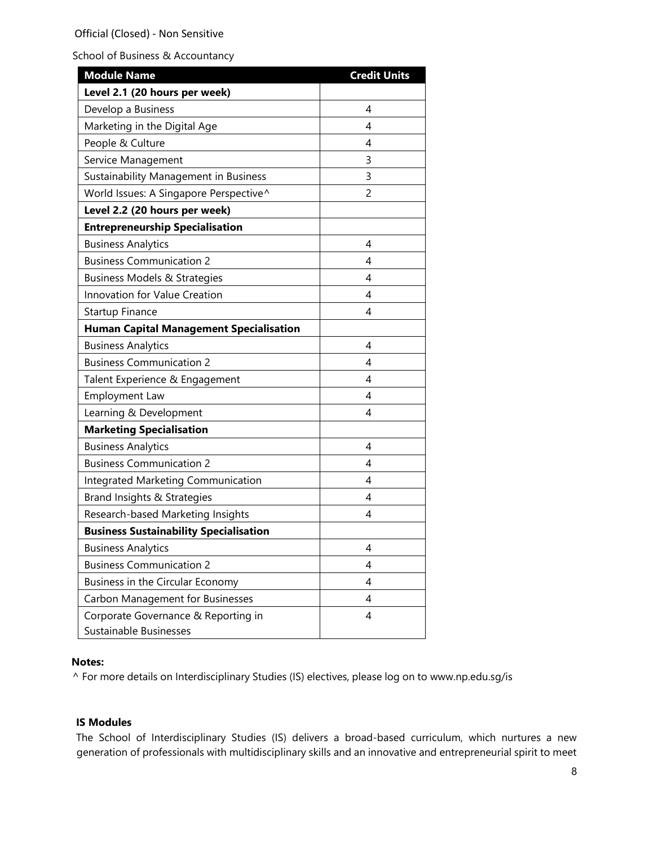| <b>Module Name</b>                             | <b>Credit Units</b> |
|------------------------------------------------|---------------------|
| Level 2.1 (20 hours per week)                  |                     |
| Develop a Business                             | 4                   |
| Marketing in the Digital Age                   | 4                   |
| People & Culture                               | 4                   |
| Service Management                             | 3                   |
| Sustainability Management in Business          | 3                   |
| World Issues: A Singapore Perspective^         | 2                   |
| Level 2.2 (20 hours per week)                  |                     |
| <b>Entrepreneurship Specialisation</b>         |                     |
| <b>Business Analytics</b>                      | 4                   |
| <b>Business Communication 2</b>                | 4                   |
| <b>Business Models &amp; Strategies</b>        | 4                   |
| Innovation for Value Creation                  | 4                   |
| Startup Finance                                | 4                   |
| <b>Human Capital Management Specialisation</b> |                     |
| <b>Business Analytics</b>                      | 4                   |
| <b>Business Communication 2</b>                | 4                   |
| Talent Experience & Engagement                 | 4                   |
| Employment Law                                 | 4                   |
| Learning & Development                         | 4                   |
| <b>Marketing Specialisation</b>                |                     |
| <b>Business Analytics</b>                      | 4                   |
| <b>Business Communication 2</b>                | 4                   |
| Integrated Marketing Communication             | 4                   |
| Brand Insights & Strategies                    | 4                   |
| Research-based Marketing Insights              | 4                   |
| <b>Business Sustainability Specialisation</b>  |                     |
| <b>Business Analytics</b>                      | 4                   |
| <b>Business Communication 2</b>                | 4                   |
| Business in the Circular Economy               | 4                   |
| Carbon Management for Businesses               | 4                   |
| Corporate Governance & Reporting in            | 4                   |
| Sustainable Businesses                         |                     |

## **Notes:**

^ For more details on Interdisciplinary Studies (IS) electives, please log on t[o](http://www.np.edu.sg/is) [www.np.edu.sg/is](http://www.np.edu.sg/is)

# **IS Modules**

The School of Interdisciplinary Studies (IS) delivers a broad-based curriculum, which nurtures a new generation of professionals with multidisciplinary skills and an innovative and entrepreneurial spirit to meet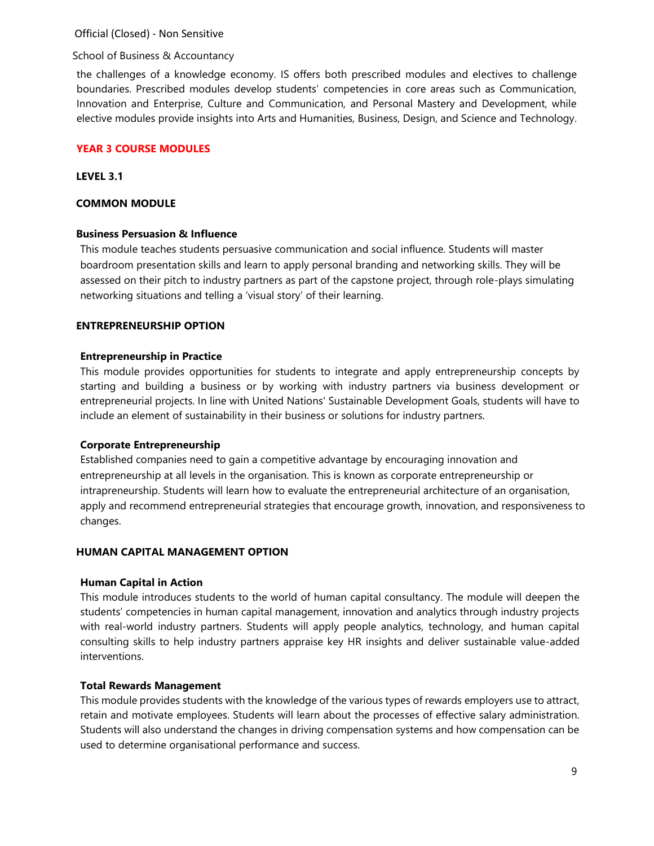## School of Business & Accountancy

the challenges of a knowledge economy. IS offers both prescribed modules and electives to challenge boundaries. Prescribed modules develop students' competencies in core areas such as Communication, Innovation and Enterprise, Culture and Communication, and Personal Mastery and Development, while elective modules provide insights into Arts and Humanities, Business, Design, and Science and Technology.

# **YEAR 3 COURSE MODULES**

#### **LEVEL 3.1**

## **COMMON MODULE**

## **Business Persuasion & Influence**

This module teaches students persuasive communication and social influence. Students will master boardroom presentation skills and learn to apply personal branding and networking skills. They will be assessed on their pitch to industry partners as part of the capstone project, through role-plays simulating networking situations and telling a 'visual story' of their learning.

## **ENTREPRENEURSHIP OPTION**

#### **Entrepreneurship in Practice**

This module provides opportunities for students to integrate and apply entrepreneurship concepts by starting and building a business or by working with industry partners via business development or entrepreneurial projects. In line with United Nations' Sustainable Development Goals, students will have to include an element of sustainability in their business or solutions for industry partners.

#### **Corporate Entrepreneurship**

Established companies need to gain a competitive advantage by encouraging innovation and entrepreneurship at all levels in the organisation. This is known as corporate entrepreneurship or intrapreneurship. Students will learn how to evaluate the entrepreneurial architecture of an organisation, apply and recommend entrepreneurial strategies that encourage growth, innovation, and responsiveness to changes.

# **HUMAN CAPITAL MANAGEMENT OPTION**

#### **Human Capital in Action**

This module introduces students to the world of human capital consultancy. The module will deepen the students' competencies in human capital management, innovation and analytics through industry projects with real-world industry partners. Students will apply people analytics, technology, and human capital consulting skills to help industry partners appraise key HR insights and deliver sustainable value-added interventions.

# **Total Rewards Management**

This module provides students with the knowledge of the various types of rewards employers use to attract, retain and motivate employees. Students will learn about the processes of effective salary administration. Students will also understand the changes in driving compensation systems and how compensation can be used to determine organisational performance and success.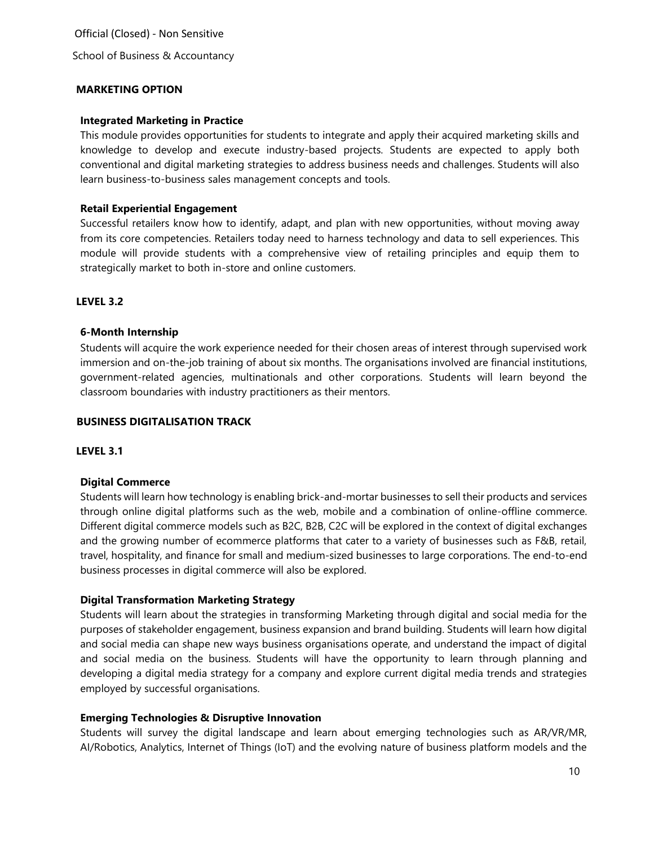## **MARKETING OPTION**

## **Integrated Marketing in Practice**

This module provides opportunities for students to integrate and apply their acquired marketing skills and knowledge to develop and execute industry-based projects. Students are expected to apply both conventional and digital marketing strategies to address business needs and challenges. Students will also learn business-to-business sales management concepts and tools.

## **Retail Experiential Engagement**

Successful retailers know how to identify, adapt, and plan with new opportunities, without moving away from its core competencies. Retailers today need to harness technology and data to sell experiences. This module will provide students with a comprehensive view of retailing principles and equip them to strategically market to both in-store and online customers.

## **LEVEL 3.2**

## **6-Month Internship**

Students will acquire the work experience needed for their chosen areas of interest through supervised work immersion and on-the-job training of about six months. The organisations involved are financial institutions, government-related agencies, multinationals and other corporations. Students will learn beyond the classroom boundaries with industry practitioners as their mentors.

#### **BUSINESS DIGITALISATION TRACK**

#### **LEVEL 3.1**

#### **Digital Commerce**

Students will learn how technology is enabling brick-and-mortar businesses to sell their products and services through online digital platforms such as the web, mobile and a combination of online-offline commerce. Different digital commerce models such as B2C, B2B, C2C will be explored in the context of digital exchanges and the growing number of ecommerce platforms that cater to a variety of businesses such as F&B, retail, travel, hospitality, and finance for small and medium-sized businesses to large corporations. The end-to-end business processes in digital commerce will also be explored.

# **Digital Transformation Marketing Strategy**

Students will learn about the strategies in transforming Marketing through digital and social media for the purposes of stakeholder engagement, business expansion and brand building. Students will learn how digital and social media can shape new ways business organisations operate, and understand the impact of digital and social media on the business. Students will have the opportunity to learn through planning and developing a digital media strategy for a company and explore current digital media trends and strategies employed by successful organisations.

#### **Emerging Technologies & Disruptive Innovation**

Students will survey the digital landscape and learn about emerging technologies such as AR/VR/MR, AI/Robotics, Analytics, Internet of Things (IoT) and the evolving nature of business platform models and the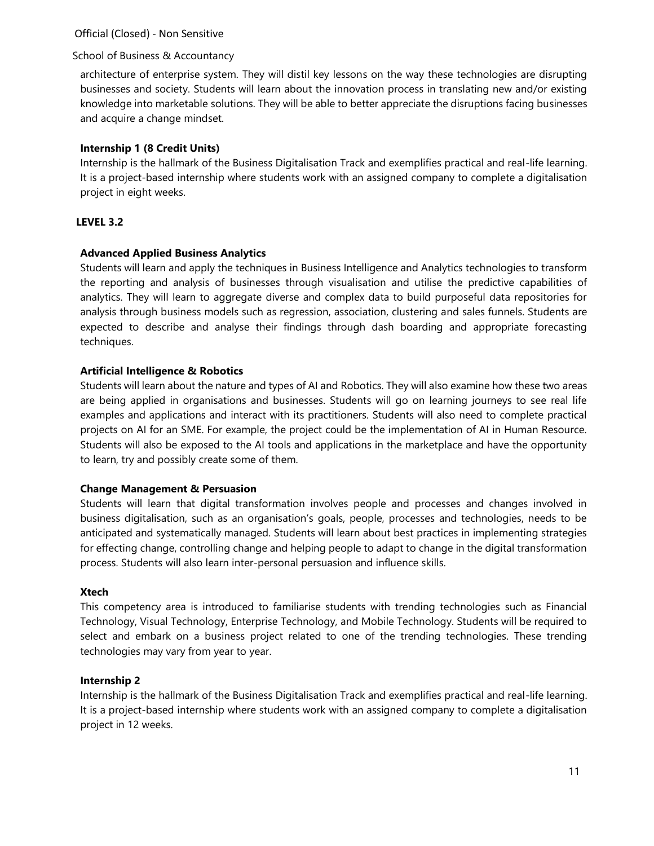# School of Business & Accountancy

architecture of enterprise system. They will distil key lessons on the way these technologies are disrupting businesses and society. Students will learn about the innovation process in translating new and/or existing knowledge into marketable solutions. They will be able to better appreciate the disruptions facing businesses and acquire a change mindset.

# **Internship 1 (8 Credit Units)**

Internship is the hallmark of the Business Digitalisation Track and exemplifies practical and real-life learning. It is a project-based internship where students work with an assigned company to complete a digitalisation project in eight weeks.

# **LEVEL 3.2**

# **Advanced Applied Business Analytics**

Students will learn and apply the techniques in Business Intelligence and Analytics technologies to transform the reporting and analysis of businesses through visualisation and utilise the predictive capabilities of analytics. They will learn to aggregate diverse and complex data to build purposeful data repositories for analysis through business models such as regression, association, clustering and sales funnels. Students are expected to describe and analyse their findings through dash boarding and appropriate forecasting techniques.

# **Artificial Intelligence & Robotics**

Students will learn about the nature and types of AI and Robotics. They will also examine how these two areas are being applied in organisations and businesses. Students will go on learning journeys to see real life examples and applications and interact with its practitioners. Students will also need to complete practical projects on AI for an SME. For example, the project could be the implementation of AI in Human Resource. Students will also be exposed to the AI tools and applications in the marketplace and have the opportunity to learn, try and possibly create some of them.

# **Change Management & Persuasion**

Students will learn that digital transformation involves people and processes and changes involved in business digitalisation, such as an organisation's goals, people, processes and technologies, needs to be anticipated and systematically managed. Students will learn about best practices in implementing strategies for effecting change, controlling change and helping people to adapt to change in the digital transformation process. Students will also learn inter-personal persuasion and influence skills.

# **Xtech**

This competency area is introduced to familiarise students with trending technologies such as Financial Technology, Visual Technology, Enterprise Technology, and Mobile Technology. Students will be required to select and embark on a business project related to one of the trending technologies. These trending technologies may vary from year to year.

# **Internship 2**

Internship is the hallmark of the Business Digitalisation Track and exemplifies practical and real-life learning. It is a project-based internship where students work with an assigned company to complete a digitalisation project in 12 weeks.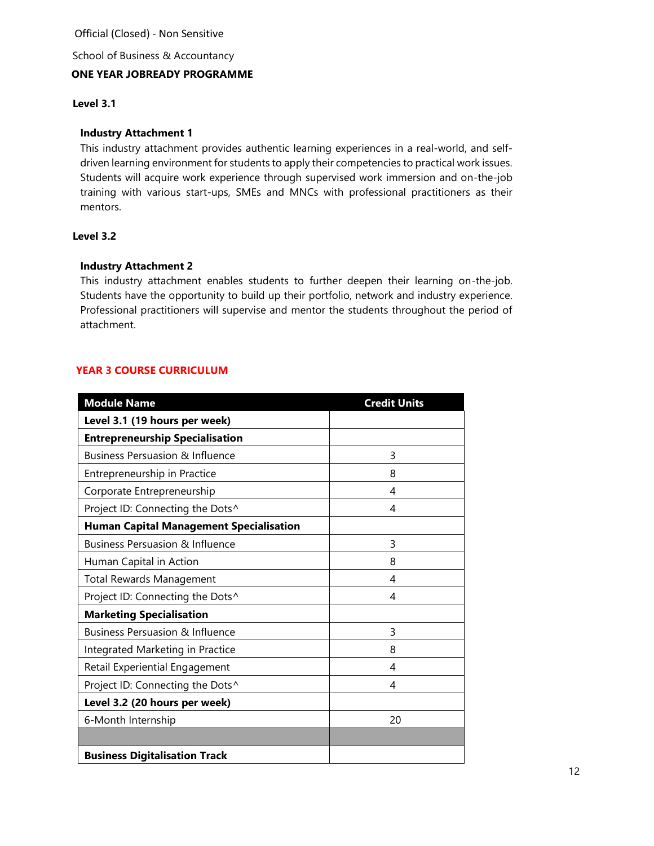School of Business & Accountancy **ONE YEAR JOBREADY PROGRAMME**

# **Level 3.1**

# **Industry Attachment 1**

This industry attachment provides authentic learning experiences in a real-world, and selfdriven learning environment for students to apply their competencies to practical work issues. Students will acquire work experience through supervised work immersion and on-the-job training with various start-ups, SMEs and MNCs with professional practitioners as their mentors.

# **Level 3.2**

# **Industry Attachment 2**

This industry attachment enables students to further deepen their learning on-the-job. Students have the opportunity to build up their portfolio, network and industry experience. Professional practitioners will supervise and mentor the students throughout the period of attachment.

# **YEAR 3 COURSE CURRICULUM**

| <b>Module Name</b>                             | <b>Credit Units</b> |
|------------------------------------------------|---------------------|
| Level 3.1 (19 hours per week)                  |                     |
| <b>Entrepreneurship Specialisation</b>         |                     |
| <b>Business Persuasion &amp; Influence</b>     | 3                   |
| Entrepreneurship in Practice                   | 8                   |
| Corporate Entrepreneurship                     | 4                   |
| Project ID: Connecting the Dots^               | 4                   |
| <b>Human Capital Management Specialisation</b> |                     |
| <b>Business Persuasion &amp; Influence</b>     | 3                   |
| Human Capital in Action                        | 8                   |
| <b>Total Rewards Management</b>                | 4                   |
| Project ID: Connecting the Dots^               | 4                   |
| <b>Marketing Specialisation</b>                |                     |
| <b>Business Persuasion &amp; Influence</b>     | 3                   |
| Integrated Marketing in Practice               | 8                   |
| Retail Experiential Engagement                 | 4                   |
| Project ID: Connecting the Dots^               | 4                   |
| Level 3.2 (20 hours per week)                  |                     |
| 6-Month Internship                             | 20                  |
|                                                |                     |
| <b>Business Digitalisation Track</b>           |                     |